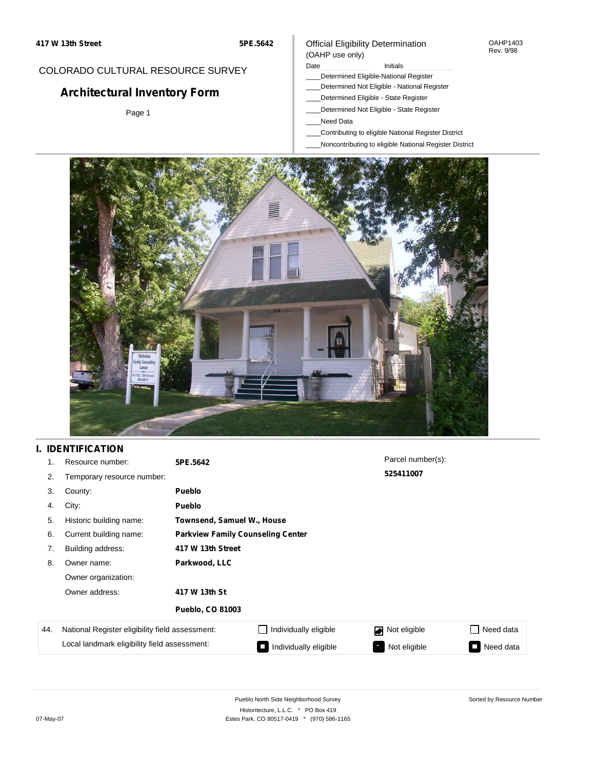## COLORADO CULTURAL RESOURCE SURVEY

# **Architectural Inventory Form**

Page 1

#### Official Eligibility Determination (OAHP use only)

Date **Initials** Initials

- \_\_\_\_Determined Eligible-National Register
- \_\_\_\_Determined Not Eligible National Register
- \_\_\_\_Determined Eligible State Register
- \_\_\_\_Determined Not Eligible State Register
- \_\_\_\_Need Data
- \_\_\_\_Contributing to eligible National Register District
- \_\_\_\_Noncontributing to eligible National Register District



## **I. IDENTIFICATION**

| 1.  | Resource number:                                | 5PE.5642                                 |                            | Parcel number(s): |           |  |  |  |
|-----|-------------------------------------------------|------------------------------------------|----------------------------|-------------------|-----------|--|--|--|
| 2.  | Temporary resource number:                      |                                          |                            | 525411007         |           |  |  |  |
| 3.  | County:                                         | Pueblo                                   |                            |                   |           |  |  |  |
| 4.  | City:                                           | Pueblo                                   |                            |                   |           |  |  |  |
| 5.  | Historic building name:                         |                                          | Townsend, Samuel W., House |                   |           |  |  |  |
| 6.  | Current building name:                          | <b>Parkview Family Counseling Center</b> |                            |                   |           |  |  |  |
| 7.  | Building address:                               | 417 W 13th Street                        |                            |                   |           |  |  |  |
| 8.  | Owner name:                                     | Parkwood, LLC                            |                            |                   |           |  |  |  |
|     | Owner organization:                             |                                          |                            |                   |           |  |  |  |
|     | Owner address:                                  | 417 W 13th St                            |                            |                   |           |  |  |  |
|     |                                                 | <b>Pueblo, CO 81003</b>                  |                            |                   |           |  |  |  |
| 44. | National Register eligibility field assessment: |                                          | Individually eligible      | Not eligible<br>◪ | Need data |  |  |  |
|     | Local landmark eligibility field assessment:    |                                          | Individually eligible      | Not eligible      | Need data |  |  |  |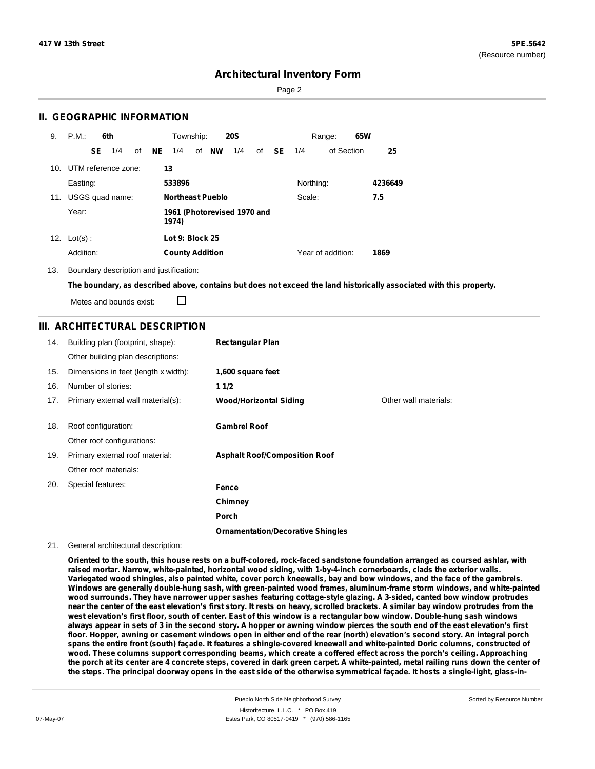Page 2

### **II. GEOGRAPHIC INFORMATION**

| 9.  | P.M.                    |           | 6th             |    |    | Township:<br><b>20S</b>              |  |              |     | 65W<br>Range: |           |           |                   |  |         |
|-----|-------------------------|-----------|-----------------|----|----|--------------------------------------|--|--------------|-----|---------------|-----------|-----------|-------------------|--|---------|
|     |                         | <b>SE</b> | 1/4             | of | NE | 1/4                                  |  | of <b>NW</b> | 1/4 | of            | <b>SE</b> | 1/4       | of Section        |  | 25      |
|     | 10. UTM reference zone: |           |                 |    |    | 13                                   |  |              |     |               |           |           |                   |  |         |
|     | Easting:                |           |                 |    |    | 533896                               |  |              |     |               |           | Northing: |                   |  | 4236649 |
| 11. |                         |           | USGS quad name: |    |    | <b>Northeast Pueblo</b><br>Scale:    |  |              |     | 7.5           |           |           |                   |  |         |
|     | Year:                   |           |                 |    |    | 1961 (Photorevised 1970 and<br>1974) |  |              |     |               |           |           |                   |  |         |
| 12. | $Lot(s)$ :              |           |                 |    |    | Lot 9: Block 25                      |  |              |     |               |           |           |                   |  |         |
|     | Addition:               |           |                 |    |    | <b>County Addition</b>               |  |              |     |               |           |           | Year of addition: |  | 1869    |

13. Boundary description and justification:

The boundary, as described above, contains but does not exceed the land historically associated with this property.

Metes and bounds exist:

П

### **III. ARCHITECTURAL DESCRIPTION**

| 14. | Building plan (footprint, shape):<br>Other building plan descriptions: | <b>Rectangular Plan</b>                  |                       |
|-----|------------------------------------------------------------------------|------------------------------------------|-----------------------|
| 15. | Dimensions in feet (length x width):                                   | 1,600 square feet                        |                       |
| 16. | Number of stories:                                                     | 11/2                                     |                       |
| 17. | Primary external wall material(s):                                     | <b>Wood/Horizontal Siding</b>            | Other wall materials: |
| 18. | Roof configuration:                                                    | <b>Gambrel Roof</b>                      |                       |
|     | Other roof configurations:                                             |                                          |                       |
| 19. | Primary external roof material:                                        | <b>Asphalt Roof/Composition Roof</b>     |                       |
|     | Other roof materials:                                                  |                                          |                       |
| 20. | Special features:                                                      | Fence                                    |                       |
|     |                                                                        | Chimney                                  |                       |
|     |                                                                        | <b>Porch</b>                             |                       |
|     |                                                                        | <b>Ornamentation/Decorative Shingles</b> |                       |

#### 21. General architectural description:

Oriented to the south, this house rests on a buff-colored, rock-faced sandstone foundation arranged as coursed ashlar, with **raised mortar. Narrow, white-painted, horizontal wood siding, with 1-by-4-inch cornerboards, clads the exterior walls.** Variegated wood shingles, also painted white, cover porch kneewalls, bay and bow windows, and the face of the gambrels. **Windows are generally double-hung sash, with green-painted wood frames, aluminum-frame storm windows, and white-painted** wood surrounds. They have narrower upper sashes featuring cottage-style glazing. A 3-sided, canted bow window protrudes near the center of the east elevation's first story. It rests on heavy, scrolled brackets. A similar bay window protrudes from the west elevation's first floor, south of center. East of this window is a rectangular bow window. Double-hung sash windows always appear in sets of 3 in the second story. A hopper or awning window pierces the south end of the east elevation's first floor. Hopper, awning or casement windows open in either end of the rear (north) elevation's second story. An integral porch spans the entire front (south) façade. It features a shingle-covered kneewall and white-painted Doric columns, constructed of wood. These columns support corresponding beams, which create a coffered effect across the porch's ceiling. Approaching the porch at its center are 4 concrete steps, covered in dark green carpet. A white-painted, metal railing runs down the center of the steps. The principal doorway opens in the east side of the otherwise symmetrical facade. It hosts a single-light, glass-in-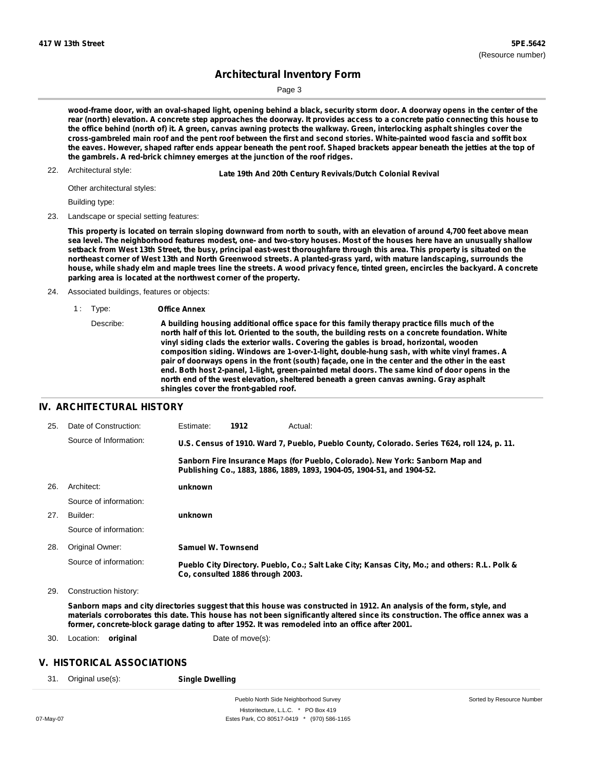Page 3

wood-frame door, with an oval-shaped light, opening behind a black, security storm door. A doorway opens in the center of the rear (north) elevation. A concrete step approaches the doorway. It provides access to a concrete patio connecting this house to the office behind (north of) it. A green, canvas awning protects the walkway. Green, interlocking asphalt shingles cover the cross-gambreled main roof and the pent roof between the first and second stories. White-painted wood fascia and soffit box the eaves. However, shaped rafter ends appear beneath the pent roof. Shaped brackets appear beneath the jetties at the top of **the gambrels. A red-brick chimney emerges at the junction of the roof ridges.**

22. Architectural style:

22. **Late 19th And 20th Century Revivals/Dutch Colonial Revival**

Other architectural styles:

Building type:

23. Landscape or special setting features:

This property is located on terrain sloping downward from north to south, with an elevation of around 4,700 feet above mean sea level. The neighborhood features modest, one- and two-story houses. Most of the houses here have an unusually shallow setback from West 13th Street, the busy, principal east-west thoroughfare through this area. This property is situated on the northeast corner of West 13th and North Greenwood streets. A planted-grass yard, with mature landscaping, surrounds the house, while shady elm and maple trees line the streets. A wood privacy fence, tinted green, encircles the backyard. A concrete **parking area is located at the northwest corner of the property.**

- 24. Associated buildings, features or objects:
	- 1 : Type: **Office Annex**

#### **IV. ARCHITECTURAL HISTORY**

| 25. | Date of Construction:  | Estimate:          | 1912                                                                                                                                                    | Actual:                                                                                       |
|-----|------------------------|--------------------|---------------------------------------------------------------------------------------------------------------------------------------------------------|-----------------------------------------------------------------------------------------------|
|     | Source of Information: |                    |                                                                                                                                                         | U.S. Census of 1910. Ward 7, Pueblo, Pueblo County, Colorado. Series T624, roll 124, p. 11.   |
|     |                        |                    | Sanborn Fire Insurance Maps (for Pueblo, Colorado). New York: Sanborn Map and<br>Publishing Co., 1883, 1886, 1889, 1893, 1904-05, 1904-51, and 1904-52. |                                                                                               |
| 26. | Architect:             | unknown            |                                                                                                                                                         |                                                                                               |
|     | Source of information: |                    |                                                                                                                                                         |                                                                                               |
| 27. | Builder:               | unknown            |                                                                                                                                                         |                                                                                               |
|     | Source of information: |                    |                                                                                                                                                         |                                                                                               |
| 28. | Original Owner:        | Samuel W. Townsend |                                                                                                                                                         |                                                                                               |
|     | Source of information: |                    | Co, consulted 1886 through 2003.                                                                                                                        | Pueblo City Directory. Pueblo, Co.; Salt Lake City; Kansas City, Mo.; and others: R.L. Polk & |
|     |                        |                    |                                                                                                                                                         |                                                                                               |

29. Construction history:

Sanborn maps and city directories suggest that this house was constructed in 1912. An analysis of the form, style, and materials corroborates this date. This house has not been significantly altered since its construction. The office annex was a **former, concrete-block garage dating to after 1952. It was remodeled into an office after 2001.**

30. Location: **original** Date of move(s):

## **V. HISTORICAL ASSOCIATIONS**

31. Original use(s): **Single Dwelling**

Describe: **A building housing additional office space for this family therapy practice fills much of the north half of this lot. Oriented to the south, the building rests on a concrete foundation. White vinyl siding clads the exterior walls. Covering the gables is broad, horizontal, wooden composition siding. Windows are 1-over-1-light, double-hung sash, with white vinyl frames. A** pair of doorways opens in the front (south) façade, one in the center and the other in the east **end. Both host 2-panel, 1-light, green-painted metal doors. The same kind of door opens in the north end of the west elevation, sheltered beneath a green canvas awning. Gray asphalt shingles cover the front-gabled roof.**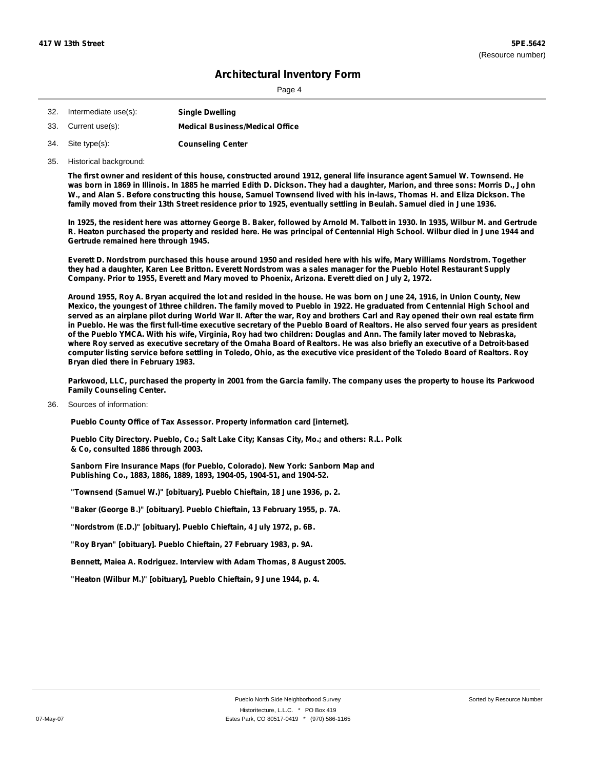Page 4

| 32. | Intermediate use(s): | <b>Single Dwelling</b>                 |
|-----|----------------------|----------------------------------------|
|     | 33. Current use(s):  | <b>Medical Business/Medical Office</b> |
|     | 34. Site type(s):    | <b>Counseling Center</b>               |

35. Historical background:

The first owner and resident of this house, constructed around 1912, general life insurance agent Samuel W. Townsend. He was born in 1869 in Illinois. In 1885 he married Edith D. Dickson. They had a daughter, Marion, and three sons: Morris D., John W., and Alan S. Before constructing this house, Samuel Townsend lived with his in-laws, Thomas H. and Eliza Dickson. The family moved from their 13th Street residence prior to 1925, eventually settling in Beulah. Samuel died in June 1936.

In 1925, the resident here was attorney George B. Baker, followed by Arnold M. Talbott in 1930. In 1935, Wilbur M. and Gertrude R. Heaton purchased the property and resided here. He was principal of Centennial High School, Wilbur died in June 1944 and **Gertrude remained here through 1945.**

Everett D. Nordstrom purchased this house around 1950 and resided here with his wife, Mary Williams Nordstrom. Together they had a daughter, Karen Lee Britton. Everett Nordstrom was a sales manager for the Pueblo Hotel Restaurant Supply **Company. Prior to 1955, Everett and Mary moved to Phoenix, Arizona. Everett died on July 2, 1972.**

Around 1955, Roy A. Bryan acquired the lot and resided in the house. He was born on June 24, 1916, in Union County, New Mexico, the youngest of 1three children. The family moved to Pueblo in 1922. He graduated from Centennial High School and served as an airplane pilot during World War II. After the war, Roy and brothers Carl and Ray opened their own real estate firm in Pueblo. He was the first full-time executive secretary of the Pueblo Board of Realtors. He also served four years as president of the Pueblo YMCA. With his wife, Virginia, Roy had two children: Douglas and Ann. The family later moved to Nebraska, where Roy served as executive secretary of the Omaha Board of Realtors. He was also briefly an executive of a Detroit-based computer listing service before settling in Toledo, Ohio, as the executive vice president of the Toledo Board of Realtors. Roy **Bryan died there in February 1983.**

Parkwood, LLC, purchased the property in 2001 from the Garcia family. The company uses the property to house its Parkwood **Family Counseling Center.**

Sources of information: 36.

**Pueblo County Office of Tax Assessor. Property information card [internet].**

**Pueblo City Directory. Pueblo, Co.; Salt Lake City; Kansas City, Mo.; and others: R.L. Polk & Co, consulted 1886 through 2003.**

**Sanborn Fire Insurance Maps (for Pueblo, Colorado). New York: Sanborn Map and Publishing Co., 1883, 1886, 1889, 1893, 1904-05, 1904-51, and 1904-52.**

**"Townsend (Samuel W.)" [obituary]. Pueblo Chieftain, 18 June 1936, p. 2.**

**"Baker (George B.)" [obituary]. Pueblo Chieftain, 13 February 1955, p. 7A.**

**"Nordstrom (E.D.)" [obituary]. Pueblo Chieftain, 4 July 1972, p. 6B.**

**"Roy Bryan" [obituary]. Pueblo Chieftain, 27 February 1983, p. 9A.**

**Bennett, Maiea A. Rodriguez. Interview with Adam Thomas, 8 August 2005.**

**"Heaton (Wilbur M.)" [obituary], Pueblo Chieftain, 9 June 1944, p. 4.**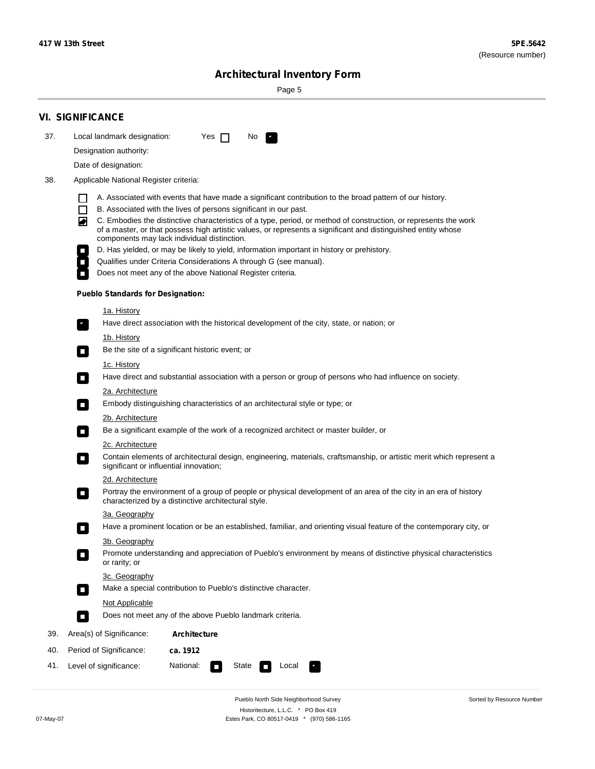۰

Sorted by Resource Number

# **Architectural Inventory Form**

Page 5

|     | <b>VI. SIGNIFICANCE</b>                             |                                                                                                                                                                                                                                                                                  |  |  |  |  |  |  |
|-----|-----------------------------------------------------|----------------------------------------------------------------------------------------------------------------------------------------------------------------------------------------------------------------------------------------------------------------------------------|--|--|--|--|--|--|
| 37. | Local landmark designation:                         | Yes $\Box$<br>No.<br>LE.                                                                                                                                                                                                                                                         |  |  |  |  |  |  |
|     | Designation authority:                              |                                                                                                                                                                                                                                                                                  |  |  |  |  |  |  |
|     | Date of designation:                                |                                                                                                                                                                                                                                                                                  |  |  |  |  |  |  |
| 38. | Applicable National Register criteria:              |                                                                                                                                                                                                                                                                                  |  |  |  |  |  |  |
|     | H                                                   | A. Associated with events that have made a significant contribution to the broad pattern of our history.                                                                                                                                                                         |  |  |  |  |  |  |
|     | $\Box$                                              | B. Associated with the lives of persons significant in our past.                                                                                                                                                                                                                 |  |  |  |  |  |  |
|     | 丙                                                   | C. Embodies the distinctive characteristics of a type, period, or method of construction, or represents the work<br>of a master, or that possess high artistic values, or represents a significant and distinguished entity whose<br>components may lack individual distinction. |  |  |  |  |  |  |
|     |                                                     | D. Has yielded, or may be likely to yield, information important in history or prehistory.                                                                                                                                                                                       |  |  |  |  |  |  |
|     |                                                     | Qualifies under Criteria Considerations A through G (see manual).                                                                                                                                                                                                                |  |  |  |  |  |  |
|     |                                                     | Does not meet any of the above National Register criteria.                                                                                                                                                                                                                       |  |  |  |  |  |  |
|     | <b>Pueblo Standards for Designation:</b>            |                                                                                                                                                                                                                                                                                  |  |  |  |  |  |  |
|     | 1a. History                                         |                                                                                                                                                                                                                                                                                  |  |  |  |  |  |  |
|     | $\mathbf{r}_1$                                      | Have direct association with the historical development of the city, state, or nation; or                                                                                                                                                                                        |  |  |  |  |  |  |
|     | 1b. History                                         |                                                                                                                                                                                                                                                                                  |  |  |  |  |  |  |
|     | $\mathcal{L}_{\mathcal{A}}$                         | Be the site of a significant historic event; or                                                                                                                                                                                                                                  |  |  |  |  |  |  |
|     | 1c. History                                         |                                                                                                                                                                                                                                                                                  |  |  |  |  |  |  |
|     | $\overline{\phantom{a}}$                            | Have direct and substantial association with a person or group of persons who had influence on society.                                                                                                                                                                          |  |  |  |  |  |  |
|     | 2a. Architecture                                    |                                                                                                                                                                                                                                                                                  |  |  |  |  |  |  |
|     | $\overline{\phantom{a}}$                            | Embody distinguishing characteristics of an architectural style or type; or                                                                                                                                                                                                      |  |  |  |  |  |  |
|     | <u>2b. Architecture</u><br>$\overline{\phantom{a}}$ | Be a significant example of the work of a recognized architect or master builder, or                                                                                                                                                                                             |  |  |  |  |  |  |
|     | <b>2c. Architecture</b>                             |                                                                                                                                                                                                                                                                                  |  |  |  |  |  |  |
|     | О<br>significant or influential innovation;         | Contain elements of architectural design, engineering, materials, craftsmanship, or artistic merit which represent a                                                                                                                                                             |  |  |  |  |  |  |
|     | <u>2d. Architecture</u>                             |                                                                                                                                                                                                                                                                                  |  |  |  |  |  |  |
|     | О                                                   | Portray the environment of a group of people or physical development of an area of the city in an era of history<br>characterized by a distinctive architectural style.                                                                                                          |  |  |  |  |  |  |
|     | 3a. Geography                                       |                                                                                                                                                                                                                                                                                  |  |  |  |  |  |  |
|     |                                                     | Have a prominent location or be an established, familiar, and orienting visual feature of the contemporary city, or                                                                                                                                                              |  |  |  |  |  |  |
|     | 3b. Geography                                       |                                                                                                                                                                                                                                                                                  |  |  |  |  |  |  |
|     | or rarity; or                                       | Promote understanding and appreciation of Pueblo's environment by means of distinctive physical characteristics                                                                                                                                                                  |  |  |  |  |  |  |
|     | 3c. Geography                                       |                                                                                                                                                                                                                                                                                  |  |  |  |  |  |  |
|     | $\Box$                                              | Make a special contribution to Pueblo's distinctive character.                                                                                                                                                                                                                   |  |  |  |  |  |  |
|     | Not Applicable                                      |                                                                                                                                                                                                                                                                                  |  |  |  |  |  |  |
|     | П                                                   | Does not meet any of the above Pueblo landmark criteria.                                                                                                                                                                                                                         |  |  |  |  |  |  |
| 39. | Area(s) of Significance:                            | <b>Architecture</b>                                                                                                                                                                                                                                                              |  |  |  |  |  |  |
| 40. | Period of Significance:                             | ca. 1912                                                                                                                                                                                                                                                                         |  |  |  |  |  |  |
| 41. | Level of significance:                              | National:<br>State<br>Local                                                                                                                                                                                                                                                      |  |  |  |  |  |  |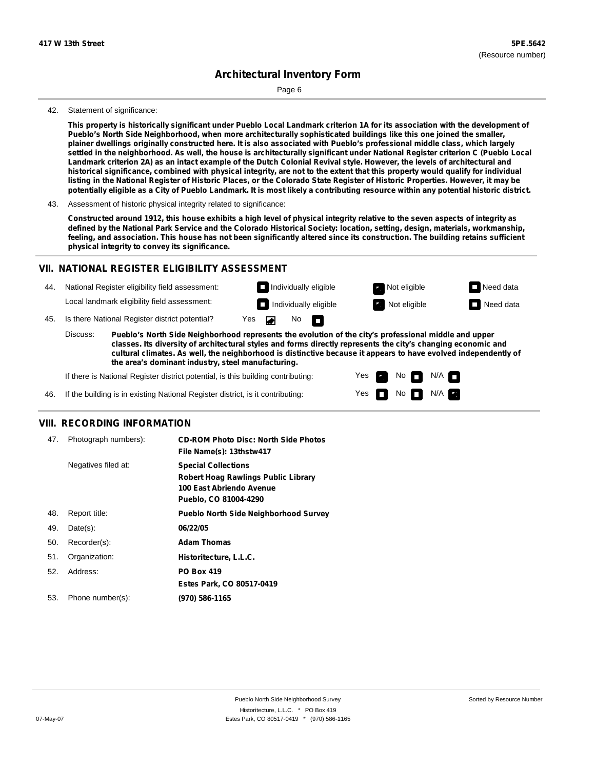Page 6

#### 42. Statement of significance:

This property is historically significant under Pueblo Local Landmark criterion 1A for its association with the development of **Pueblo's North Side Neighborhood, when more architecturally sophisticated buildings like this one joined the smaller,** plainer dwellings originally constructed here. It is also associated with Pueblo's professional middle class, which largely settled in the neighborhood. As well, the house is architecturally significant under National Register criterion C (Pueblo Local Landmark criterion 2A) as an intact example of the Dutch Colonial Revival style. However, the levels of architectural and historical significance, combined with physical integrity, are not to the extent that this property would qualify for individual listing in the National Register of Historic Places, or the Colorado State Register of Historic Properties. However, it may be potentially eligible as a City of Pueblo Landmark. It is most likely a contributing resource within any potential historic district.

Constructed around 1912, this house exhibits a high level of physical integrity relative to the seven aspects of integrity as defined by the National Park Service and the Colorado Historical Society: location, setting, design, materials, workmanship, feeling, and association. This house has not been significantly altered since its construction. The building retains sufficient **physical integrity to convey its significance.**

#### **VII. NATIONAL REGISTER ELIGIBILITY ASSESSMENT**

44. National Register eligibility field assessment: Local landmark eligibility field assessment:

45. Is there National Register district potential? Yes

**Pueblo's North Side Neighborhood represents the evolution of the city's professional middle and upper classes. Its diversity of architectural styles and forms directly represents the city's changing economic and cultural climates. As well, the neighborhood is distinctive because it appears to have evolved independently of the area's dominant industry, steel manufacturing.** Discuss:

 $\blacksquare$ 

No<sub>D</sub>

Yes Yes No

**Individually eligible Not eligible** Not eligible **Need data Individually eligible Not eligible Not eligible Need data** 

 $No$   $N/A$ 

N/A

If there is National Register district potential, is this building contributing:



#### **VIII. RECORDING INFORMATION**

| 47. | Photograph numbers): | <b>CD-ROM Photo Disc: North Side Photos</b><br>File Name(s): 13thstw417                                                       |
|-----|----------------------|-------------------------------------------------------------------------------------------------------------------------------|
|     | Negatives filed at:  | <b>Special Collections</b><br><b>Robert Hoag Rawlings Public Library</b><br>100 East Abriendo Avenue<br>Pueblo, CO 81004-4290 |
| 48. | Report title:        | <b>Pueblo North Side Neighborhood Survey</b>                                                                                  |
| 49. | $Date(s)$ :          | 06/22/05                                                                                                                      |
| 50. | Recorder(s):         | <b>Adam Thomas</b>                                                                                                            |
| 51. | Organization:        | Historitecture, L.L.C.                                                                                                        |
| 52. | Address:             | <b>PO Box 419</b>                                                                                                             |
|     |                      | Estes Park, CO 80517-0419                                                                                                     |
| 53. | Phone number(s):     | (970) 586-1165                                                                                                                |

<sup>43.</sup> Assessment of historic physical integrity related to significance: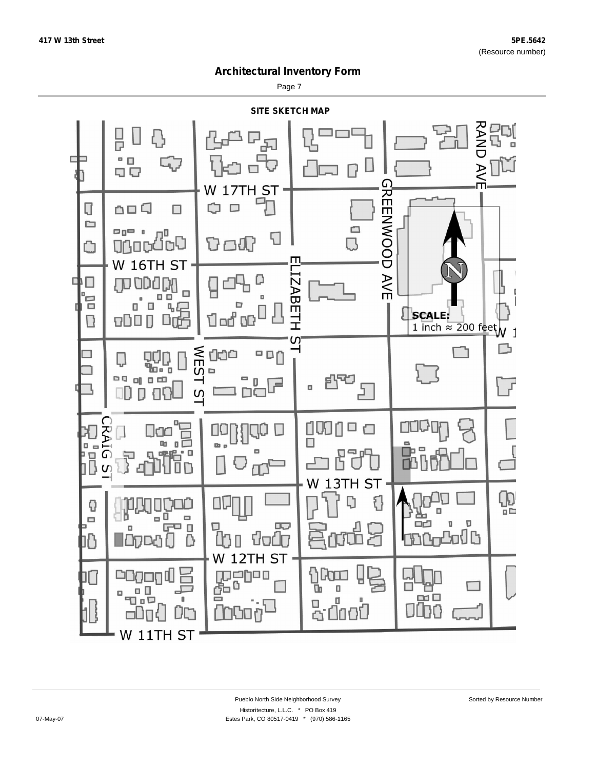Page 7